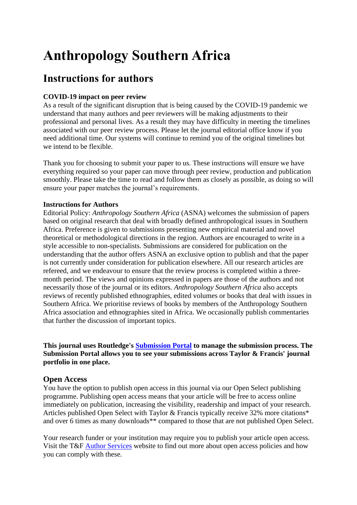# **Anthropology Southern Africa**

# **Instructions for authors**

# **COVID-19 impact on peer review**

As a result of the significant disruption that is being caused by the COVID-19 pandemic we understand that many authors and peer reviewers will be making adjustments to their professional and personal lives. As a result they may have difficulty in meeting the timelines associated with our peer review process. Please let the journal editorial office know if you need additional time. Our systems will continue to remind you of the original timelines but we intend to be flexible.

Thank you for choosing to submit your paper to us. These instructions will ensure we have everything required so your paper can move through peer review, production and publication smoothly. Please take the time to read and follow them as closely as possible, as doing so will ensure your paper matches the journal's requirements.

# **Instructions for Authors**

Editorial Policy: *Anthropology Southern Africa* (ASNA) welcomes the submission of papers based on original research that deal with broadly defined anthropological issues in Southern Africa. Preference is given to submissions presenting new empirical material and novel theoretical or methodological directions in the region. Authors are encouraged to write in a style accessible to non-specialists. Submissions are considered for publication on the understanding that the author offers ASNA an exclusive option to publish and that the paper is not currently under consideration for publication elsewhere. All our research articles are refereed, and we endeavour to ensure that the review process is completed within a threemonth period. The views and opinions expressed in papers are those of the authors and not necessarily those of the journal or its editors. *Anthropology Southern Africa* also accepts reviews of recently published ethnographies, edited volumes or books that deal with issues in Southern Africa. We prioritise reviews of books by members of the Anthropology Southern Africa association and ethnographies sited in Africa. We occasionally publish commentaries that further the discussion of important topics.

**This journal uses Routledge's [Submission Portal](https://rp.tandfonline.com/submission/create?journalCode=RASA) to manage the submission process. The Submission Portal allows you to see your submissions across Taylor & Francis' journal portfolio in one place.** 

# **Open Access**

You have the option to publish open access in this journal via our Open Select publishing programme. Publishing open access means that your article will be free to access online immediately on publication, increasing the visibility, readership and impact of your research. Articles published Open Select with Taylor & Francis typically receive 32% more citations\* and over 6 times as many downloads\*\* compared to those that are not published Open Select.

Your research funder or your institution may require you to publish your article open access. Visit the T&F [Author Services](https://authorservices.taylorandfrancis.com/publishing-open-access/funder-open-access-policies/) website to find out more about open access policies and how you can comply with these.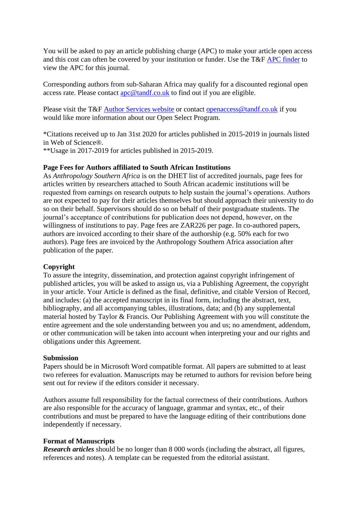You will be asked to pay an article publishing charge (APC) to make your article open access and this cost can often be covered by your institution or funder. Use the T&F [APC finder](http://www.taylorfrancis.com/authorcharges/) to view the APC for this journal.

Corresponding authors from sub-Saharan Africa may qualify for a discounted regional open access rate. Please contact [apc@tandf.co.uk](mailto:apc@tandf.co.uk) to find out if you are eligible.

Please visit the T&F [Author Services website](https://authorservices.taylorandfrancis.com/publishing-open-access) or contact [openaccess@tandf.co.uk](mailto:openaccess@tandf.co.uk) if you would like more information about our Open Select Program.

\*Citations received up to Jan 31st 2020 for articles published in 2015-2019 in journals listed in Web of Science®.

\*\*Usage in 2017-2019 for articles published in 2015-2019.

#### **Page Fees for Authors affiliated to South African Institutions**

As *Anthropology Southern Africa* is on the DHET list of accredited journals, page fees for articles written by researchers attached to South African academic institutions will be requested from earnings on research outputs to help sustain the journal's operations. Authors are not expected to pay for their articles themselves but should approach their university to do so on their behalf. Supervisors should do so on behalf of their postgraduate students. The journal's acceptance of contributions for publication does not depend, however, on the willingness of institutions to pay. Page fees are ZAR226 per page. In co-authored papers, authors are invoiced according to their share of the authorship (e.g. 50% each for two authors). Page fees are invoiced by the Anthropology Southern Africa association after publication of the paper.

#### **Copyright**

To assure the integrity, dissemination, and protection against copyright infringement of published articles, you will be asked to assign us, via a Publishing Agreement, the copyright in your article. Your Article is defined as the final, definitive, and citable Version of Record, and includes: (a) the accepted manuscript in its final form, including the abstract, text, bibliography, and all accompanying tables, illustrations, data; and (b) any supplemental material hosted by Taylor & Francis. Our Publishing Agreement with you will constitute the entire agreement and the sole understanding between you and us; no amendment, addendum, or other communication will be taken into account when interpreting your and our rights and obligations under this Agreement.

#### **Submission**

Papers should be in Microsoft Word compatible format. All papers are submitted to at least two referees for evaluation. Manuscripts may be returned to authors for revision before being sent out for review if the editors consider it necessary.

Authors assume full responsibility for the factual correctness of their contributions. Authors are also responsible for the accuracy of language, grammar and syntax, etc., of their contributions and must be prepared to have the language editing of their contributions done independently if necessary.

#### **Format of Manuscripts**

*Research articles* should be no longer than 8 000 words (including the abstract, all figures, references and notes). A template can be requested from the editorial assistant.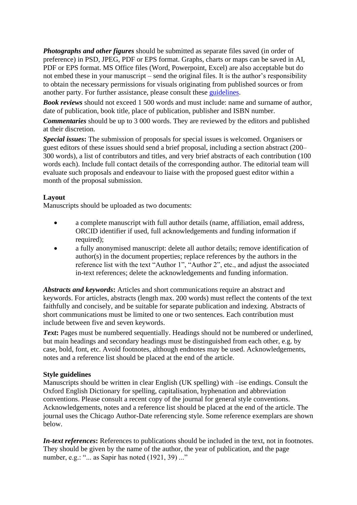*Photographs and other figures* should be submitted as separate files saved (in order of preference) in PSD, JPEG, PDF or EPS format. Graphs, charts or maps can be saved in AI, PDF or EPS format. MS Office files (Word, Powerpoint, Excel) are also acceptable but do not embed these in your manuscript – send the original files. It is the author's responsibility to obtain the necessary permissions for visuals originating from published sources or from another party. For further assistance, please consult these [guidelines.](https://authorservices.taylorandfrancis.com/using-third-party-material-in-your-article/)

*Book reviews* should not exceed 1 500 words and must include: name and surname of author, date of publication, book title, place of publication, publisher and ISBN number.

*Commentaries* should be up to 3 000 words. They are reviewed by the editors and published at their discretion.

*Special issues***:** The submission of proposals for special issues is welcomed. Organisers or guest editors of these issues should send a brief proposal, including a section abstract (200– 300 words), a list of contributors and titles, and very brief abstracts of each contribution (100 words each). Include full contact details of the corresponding author. The editorial team will evaluate such proposals and endeavour to liaise with the proposed guest editor within a month of the proposal submission.

### **Layout**

Manuscripts should be uploaded as two documents:

- a complete manuscript with full author details (name, affiliation, email address, ORCID identifier if used, full acknowledgements and funding information if required);
- a fully anonymised manuscript: delete all author details; remove identification of author(s) in the document properties; replace references by the authors in the reference list with the text "Author 1", "Author 2", etc., and adjust the associated in-text references; delete the acknowledgements and funding information.

*Abstracts and keywords***:** Articles and short communications require an abstract and keywords. For articles, abstracts (length max. 200 words) must reflect the contents of the text faithfully and concisely, and be suitable for separate publication and indexing. Abstracts of short communications must be limited to one or two sentences. Each contribution must include between five and seven keywords.

**Text:** Pages must be numbered sequentially. Headings should not be numbered or underlined, but main headings and secondary headings must be distinguished from each other, e.g. by case, bold, font, etc. Avoid footnotes, although endnotes may be used. Acknowledgements, notes and a reference list should be placed at the end of the article.

#### **Style guidelines**

Manuscripts should be written in clear English (UK spelling) with –ise endings. Consult the Oxford English Dictionary for spelling, capitalisation, hyphenation and abbreviation conventions. Please consult a recent copy of the journal for general style conventions. Acknowledgements, notes and a reference list should be placed at the end of the article. The journal uses the Chicago Author-Date referencing style. Some reference exemplars are shown below.

*In-text references***:** References to publications should be included in the text, not in footnotes. They should be given by the name of the author, the year of publication, and the page number, e.g.: " $\ldots$  as Sapir has noted (1921, 39) ..."